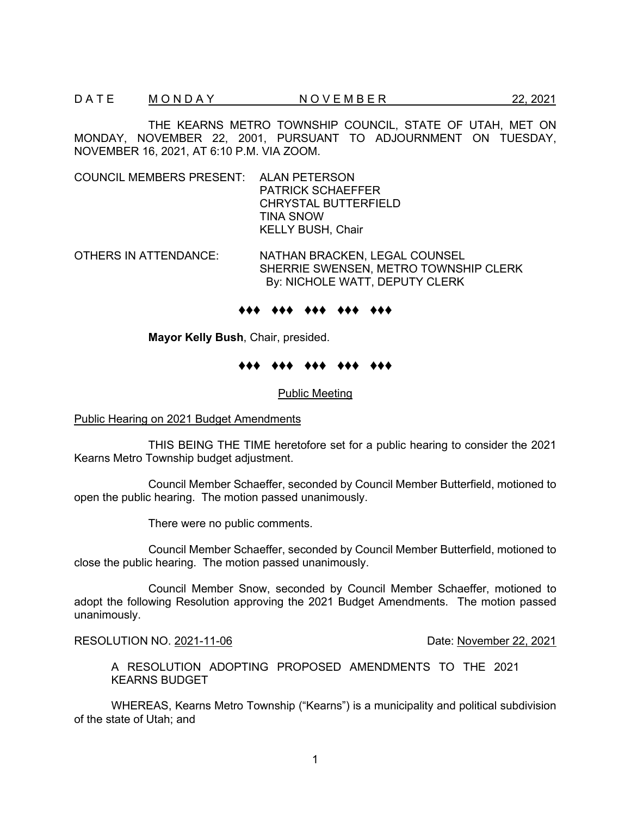THE KEARNS METRO TOWNSHIP COUNCIL, STATE OF UTAH, MET ON MONDAY, NOVEMBER 22, 2001, PURSUANT TO ADJOURNMENT ON TUESDAY, NOVEMBER 16, 2021, AT 6:10 P.M. VIA ZOOM.

COUNCIL MEMBERS PRESENT: ALAN PETERSON PATRICK SCHAEFFER CHRYSTAL BUTTERFIELD TINA SNOW KELLY BUSH, Chair

OTHERS IN ATTENDANCE: NATHAN BRACKEN, LEGAL COUNSEL SHERRIE SWENSEN, METRO TOWNSHIP CLERK By: NICHOLE WATT, DEPUTY CLERK

#### ♦♦♦ ♦♦♦ ♦♦♦ ♦♦♦ ♦♦♦

**Mayor Kelly Bush**, Chair, presided.

#### ♦♦♦ ♦♦♦ ♦♦♦ ♦♦♦ ♦♦♦

Public Meeting

### Public Hearing on 2021 Budget Amendments

THIS BEING THE TIME heretofore set for a public hearing to consider the 2021 Kearns Metro Township budget adjustment.

Council Member Schaeffer, seconded by Council Member Butterfield, motioned to open the public hearing. The motion passed unanimously.

There were no public comments.

Council Member Schaeffer, seconded by Council Member Butterfield, motioned to close the public hearing. The motion passed unanimously.

Council Member Snow, seconded by Council Member Schaeffer, motioned to adopt the following Resolution approving the 2021 Budget Amendments. The motion passed unanimously.

RESOLUTION NO. 2021-11-06 Date: November 22, 2021

A RESOLUTION ADOPTING PROPOSED AMENDMENTS TO THE 2021 KEARNS BUDGET

WHEREAS, Kearns Metro Township ("Kearns") is a municipality and political subdivision of the state of Utah; and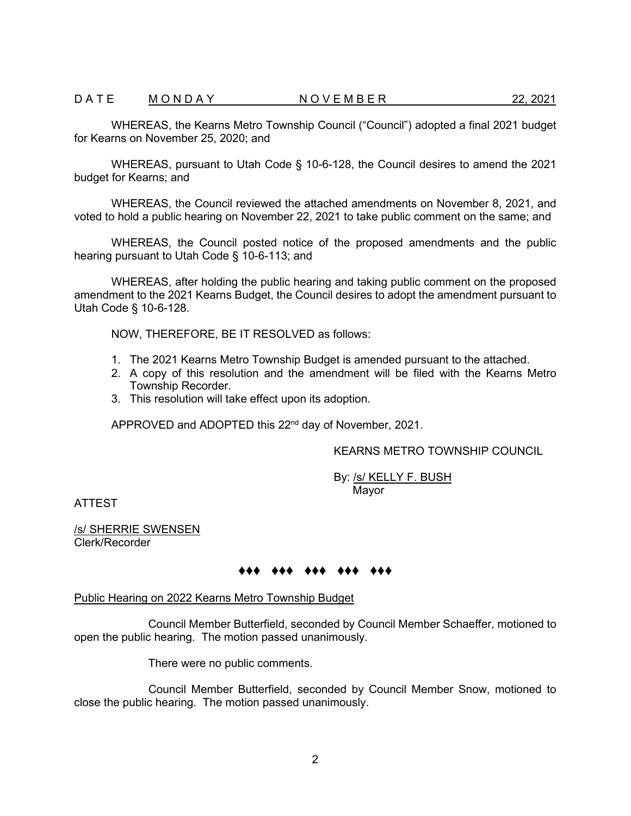WHEREAS, the Kearns Metro Township Council ("Council") adopted a final 2021 budget for Kearns on November 25, 2020; and

WHEREAS, pursuant to Utah Code § 10-6-128, the Council desires to amend the 2021 budget for Kearns; and

WHEREAS, the Council reviewed the attached amendments on November 8, 2021, and voted to hold a public hearing on November 22, 2021 to take public comment on the same; and

WHEREAS, the Council posted notice of the proposed amendments and the public hearing pursuant to Utah Code § 10-6-113; and

WHEREAS, after holding the public hearing and taking public comment on the proposed amendment to the 2021 Kearns Budget, the Council desires to adopt the amendment pursuant to Utah Code § 10-6-128.

NOW, THEREFORE, BE IT RESOLVED as follows:

- 1. The 2021 Kearns Metro Township Budget is amended pursuant to the attached.
- 2. A copy of this resolution and the amendment will be filed with the Kearns Metro Township Recorder.
- 3. This resolution will take effect upon its adoption.

APPROVED and ADOPTED this 22<sup>nd</sup> day of November, 2021.

KEARNS METRO TOWNSHIP COUNCIL

By: /s/ KELLY F. BUSH Mayor

ATTEST

/s/ SHERRIE SWENSEN Clerk/Recorder

# ♦♦♦ ♦♦♦ ♦♦♦ ♦♦♦ ♦♦♦

### Public Hearing on 2022 Kearns Metro Township Budget

Council Member Butterfield, seconded by Council Member Schaeffer, motioned to open the public hearing. The motion passed unanimously.

There were no public comments.

Council Member Butterfield, seconded by Council Member Snow, motioned to close the public hearing. The motion passed unanimously.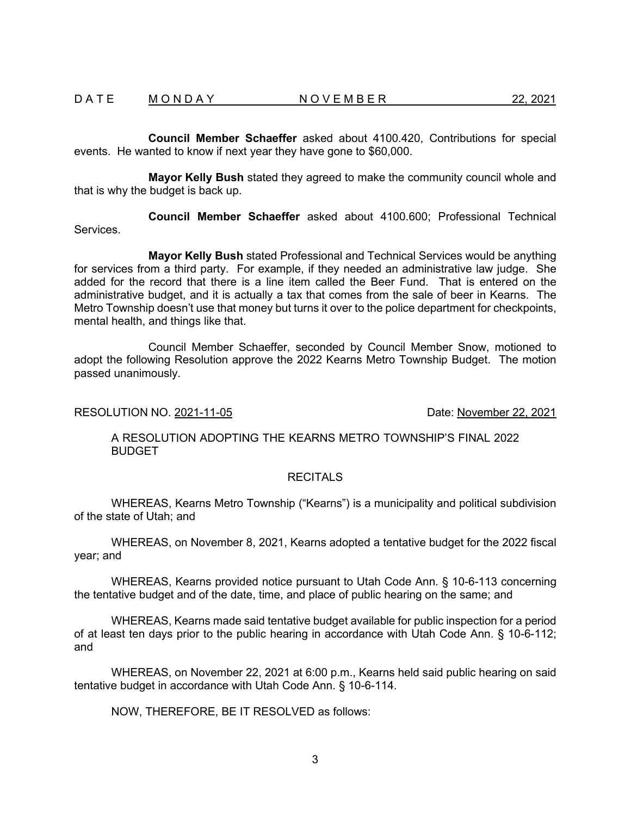**Council Member Schaeffer** asked about 4100.420, Contributions for special events. He wanted to know if next year they have gone to \$60,000.

**Mayor Kelly Bush** stated they agreed to make the community council whole and that is why the budget is back up.

**Council Member Schaeffer** asked about 4100.600; Professional Technical Services.

**Mayor Kelly Bush** stated Professional and Technical Services would be anything for services from a third party. For example, if they needed an administrative law judge. She added for the record that there is a line item called the Beer Fund. That is entered on the administrative budget, and it is actually a tax that comes from the sale of beer in Kearns. The Metro Township doesn't use that money but turns it over to the police department for checkpoints, mental health, and things like that.

Council Member Schaeffer, seconded by Council Member Snow, motioned to adopt the following Resolution approve the 2022 Kearns Metro Township Budget. The motion passed unanimously.

## RESOLUTION NO. 2021-11-05 **Date:** November 22, 2021

A RESOLUTION ADOPTING THE KEARNS METRO TOWNSHIP'S FINAL 2022 BUDGET

# **RECITALS**

WHEREAS, Kearns Metro Township ("Kearns") is a municipality and political subdivision of the state of Utah; and

WHEREAS, on November 8, 2021, Kearns adopted a tentative budget for the 2022 fiscal year; and

WHEREAS, Kearns provided notice pursuant to Utah Code Ann. § 10-6-113 concerning the tentative budget and of the date, time, and place of public hearing on the same; and

WHEREAS, Kearns made said tentative budget available for public inspection for a period of at least ten days prior to the public hearing in accordance with Utah Code Ann. § 10-6-112; and

WHEREAS, on November 22, 2021 at 6:00 p.m., Kearns held said public hearing on said tentative budget in accordance with Utah Code Ann. § 10-6-114.

NOW, THEREFORE, BE IT RESOLVED as follows: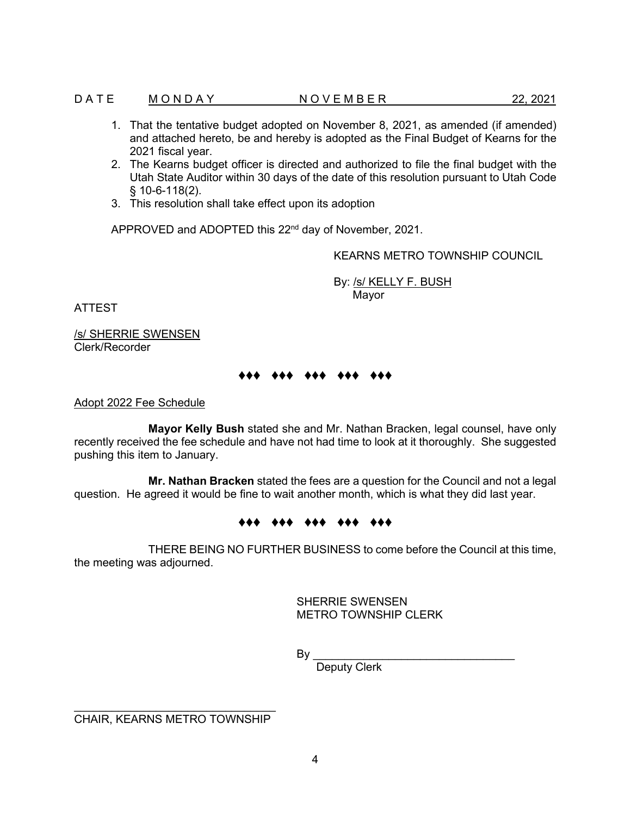## D A T E M O N D A Y  $N$  O V E M B E R 22, 2021

- 1. That the tentative budget adopted on November 8, 2021, as amended (if amended) and attached hereto, be and hereby is adopted as the Final Budget of Kearns for the 2021 fiscal year.
- 2. The Kearns budget officer is directed and authorized to file the final budget with the Utah State Auditor within 30 days of the date of this resolution pursuant to Utah Code § 10-6-118(2).
- 3. This resolution shall take effect upon its adoption

APPROVED and ADOPTED this 22nd day of November, 2021.

KEARNS METRO TOWNSHIP COUNCIL

By: /s/ KELLY F. BUSH Mayor

ATTEST

/s/ SHERRIE SWENSEN Clerk/Recorder

# ♦♦♦ ♦♦♦ ♦♦♦ ♦♦♦ ♦♦♦

## Adopt 2022 Fee Schedule

**Mayor Kelly Bush** stated she and Mr. Nathan Bracken, legal counsel, have only recently received the fee schedule and have not had time to look at it thoroughly. She suggested pushing this item to January.

**Mr. Nathan Bracken** stated the fees are a question for the Council and not a legal question. He agreed it would be fine to wait another month, which is what they did last year.

### ♦♦♦ ♦♦♦ ♦♦♦ ♦♦♦ ♦♦♦

THERE BEING NO FURTHER BUSINESS to come before the Council at this time, the meeting was adjourned.

> SHERRIE SWENSEN METRO TOWNSHIP CLERK

By \_\_\_\_\_\_\_\_\_\_\_\_\_\_\_\_\_\_\_\_\_\_\_\_\_\_\_\_\_\_\_\_

Deputy Clerk

 $\overline{\phantom{a}}$  , where  $\overline{\phantom{a}}$  , where  $\overline{\phantom{a}}$  , where  $\overline{\phantom{a}}$  , we have  $\overline{\phantom{a}}$ CHAIR, KEARNS METRO TOWNSHIP